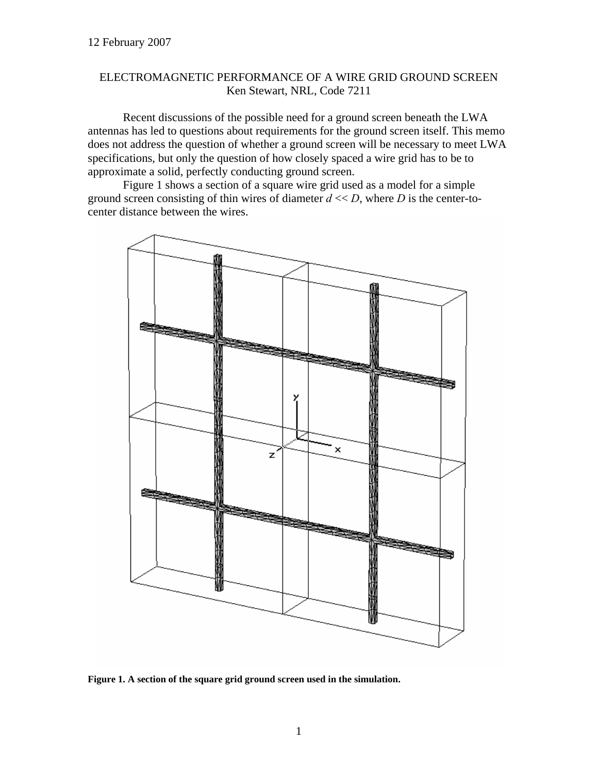## ELECTROMAGNETIC PERFORMANCE OF A WIRE GRID GROUND SCREEN Ken Stewart, NRL, Code 7211

Recent discussions of the possible need for a ground screen beneath the LWA antennas has led to questions about requirements for the ground screen itself. This memo does not address the question of whether a ground screen will be necessary to meet LWA specifications, but only the question of how closely spaced a wire grid has to be to approximate a solid, perfectly conducting ground screen.

[Figure 1](#page-0-0) shows a section of a square wire grid used as a model for a simple ground screen consisting of thin wires of diameter  $d \ll D$ , where *D* is the center-tocenter distance between the wires.

<span id="page-0-0"></span>

**Figure 1. A section of the square grid ground screen used in the simulation.**